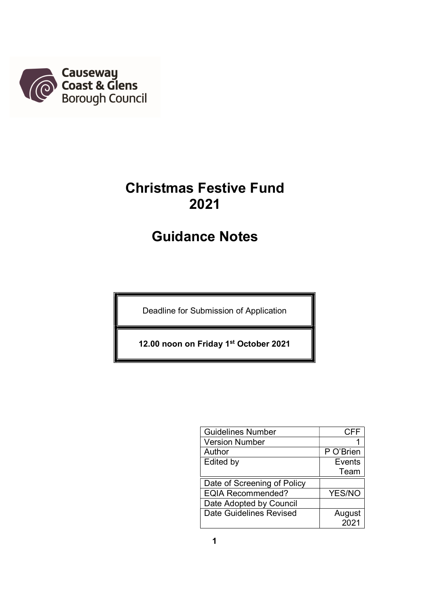

# Christmas Festive Fund 2021

# Guidance Notes

Deadline for Submission of Application

12.00 noon on Friday 1st October 2021

| <b>Guidelines Number</b>       | <b>CFF</b> |
|--------------------------------|------------|
| <b>Version Number</b>          |            |
| Author                         | P O'Brien  |
| Edited by                      | Events     |
|                                | Team       |
| Date of Screening of Policy    |            |
| <b>EQIA Recommended?</b>       | YES/NO     |
| Date Adopted by Council        |            |
| <b>Date Guidelines Revised</b> | August     |
|                                | 2021       |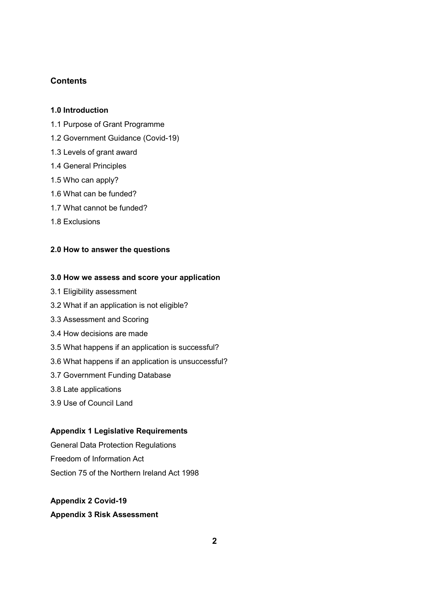# **Contents**

#### 1.0 Introduction

- 1.1 Purpose of Grant Programme
- 1.2 Government Guidance (Covid-19)
- 1.3 Levels of grant award
- 1.4 General Principles
- 1.5 Who can apply?
- 1.6 What can be funded?
- 1.7 What cannot be funded?
- 1.8 Exclusions

#### 2.0 How to answer the questions

#### 3.0 How we assess and score your application

- 3.1 Eligibility assessment
- 3.2 What if an application is not eligible?
- 3.3 Assessment and Scoring
- 3.4 How decisions are made
- 3.5 What happens if an application is successful?
- 3.6 What happens if an application is unsuccessful?
- 3.7 Government Funding Database
- 3.8 Late applications
- 3.9 Use of Council Land

# Appendix 1 Legislative Requirements

General Data Protection Regulations Freedom of Information Act Section 75 of the Northern Ireland Act 1998

#### Appendix 2 Covid-19

#### Appendix 3 Risk Assessment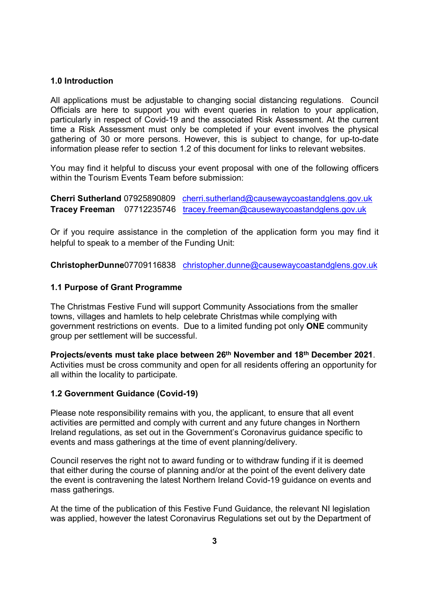## 1.0 Introduction

All applications must be adjustable to changing social distancing regulations. Council Officials are here to support you with event queries in relation to your application, particularly in respect of Covid-19 and the associated Risk Assessment. At the current time a Risk Assessment must only be completed if your event involves the physical gathering of 30 or more persons. However, this is subject to change, for up-to-date information please refer to section 1.2 of this document for links to relevant websites.

You may find it helpful to discuss your event proposal with one of the following officers within the Tourism Events Team before submission:

Cherri Sutherland 07925890809 cherri.sutherland@causewaycoastandglens.gov.uk Tracey Freeman 07712235746 tracey.freeman@causewaycoastandglens.gov.uk

Or if you require assistance in the completion of the application form you may find it helpful to speak to a member of the Funding Unit:

ChristopherDunne07709116838 christopher.dunne@causewaycoastandglens.gov.uk

# 1.1 Purpose of Grant Programme

The Christmas Festive Fund will support Community Associations from the smaller towns, villages and hamlets to help celebrate Christmas while complying with government restrictions on events. Due to a limited funding pot only ONE community group per settlement will be successful.

Projects/events must take place between 26th November and 18th December 2021. Activities must be cross community and open for all residents offering an opportunity for all within the locality to participate.

## 1.2 Government Guidance (Covid-19)

Please note responsibility remains with you, the applicant, to ensure that all event activities are permitted and comply with current and any future changes in Northern Ireland regulations, as set out in the Government's Coronavirus guidance specific to events and mass gatherings at the time of event planning/delivery.

Council reserves the right not to award funding or to withdraw funding if it is deemed that either during the course of planning and/or at the point of the event delivery date the event is contravening the latest Northern Ireland Covid-19 guidance on events and mass gatherings.

At the time of the publication of this Festive Fund Guidance, the relevant NI legislation was applied, however the latest Coronavirus Regulations set out by the Department of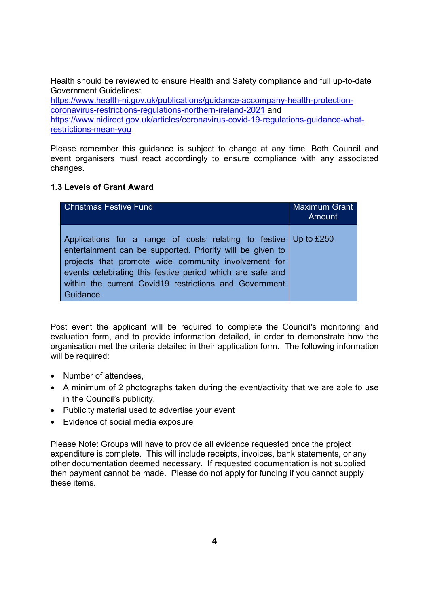Health should be reviewed to ensure Health and Safety compliance and full up-to-date Government Guidelines:

https://www.health-ni.gov.uk/publications/guidance-accompany-health-protectioncoronavirus-restrictions-regulations-northern-ireland-2021 and https://www.nidirect.gov.uk/articles/coronavirus-covid-19-regulations-guidance-whatrestrictions-mean-you

Please remember this guidance is subject to change at any time. Both Council and event organisers must react accordingly to ensure compliance with any associated changes.

# 1.3 Levels of Grant Award

| <b>Christmas Festive Fund</b>                                                                                                                                                                                                                                                                                             | <b>Maximum Grant</b><br>Amount |
|---------------------------------------------------------------------------------------------------------------------------------------------------------------------------------------------------------------------------------------------------------------------------------------------------------------------------|--------------------------------|
| Applications for a range of costs relating to festive Up to £250<br>entertainment can be supported. Priority will be given to<br>projects that promote wide community involvement for<br>events celebrating this festive period which are safe and<br>within the current Covid19 restrictions and Government<br>Guidance. |                                |

Post event the applicant will be required to complete the Council's monitoring and evaluation form, and to provide information detailed, in order to demonstrate how the organisation met the criteria detailed in their application form. The following information will be required:

- Number of attendees.
- A minimum of 2 photographs taken during the event/activity that we are able to use in the Council's publicity.
- Publicity material used to advertise your event
- Evidence of social media exposure

Please Note: Groups will have to provide all evidence requested once the project expenditure is complete. This will include receipts, invoices, bank statements, or any other documentation deemed necessary. If requested documentation is not supplied then payment cannot be made. Please do not apply for funding if you cannot supply these items.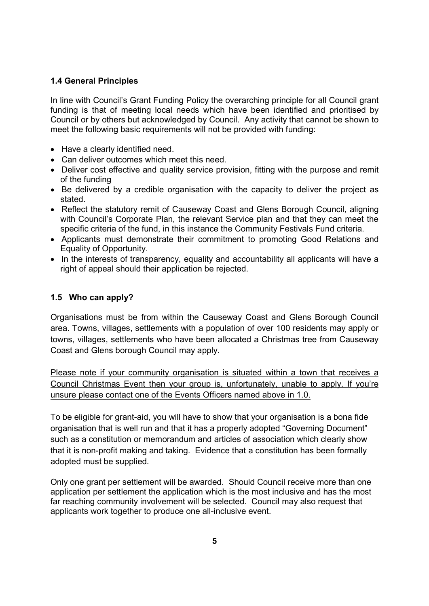# 1.4 General Principles

In line with Council's Grant Funding Policy the overarching principle for all Council grant funding is that of meeting local needs which have been identified and prioritised by Council or by others but acknowledged by Council. Any activity that cannot be shown to meet the following basic requirements will not be provided with funding:

- Have a clearly identified need.
- Can deliver outcomes which meet this need.
- Deliver cost effective and quality service provision, fitting with the purpose and remit of the funding
- Be delivered by a credible organisation with the capacity to deliver the project as stated.
- Reflect the statutory remit of Causeway Coast and Glens Borough Council, aligning with Council's Corporate Plan, the relevant Service plan and that they can meet the specific criteria of the fund, in this instance the Community Festivals Fund criteria.
- Applicants must demonstrate their commitment to promoting Good Relations and Equality of Opportunity.
- In the interests of transparency, equality and accountability all applicants will have a right of appeal should their application be rejected.

# 1.5 Who can apply?

Organisations must be from within the Causeway Coast and Glens Borough Council area. Towns, villages, settlements with a population of over 100 residents may apply or towns, villages, settlements who have been allocated a Christmas tree from Causeway Coast and Glens borough Council may apply.

Please note if your community organisation is situated within a town that receives a Council Christmas Event then your group is, unfortunately, unable to apply. If you're unsure please contact one of the Events Officers named above in 1.0.

To be eligible for grant-aid, you will have to show that your organisation is a bona fide organisation that is well run and that it has a properly adopted "Governing Document" such as a constitution or memorandum and articles of association which clearly show that it is non-profit making and taking. Evidence that a constitution has been formally adopted must be supplied.

Only one grant per settlement will be awarded. Should Council receive more than one application per settlement the application which is the most inclusive and has the most far reaching community involvement will be selected. Council may also request that applicants work together to produce one all-inclusive event.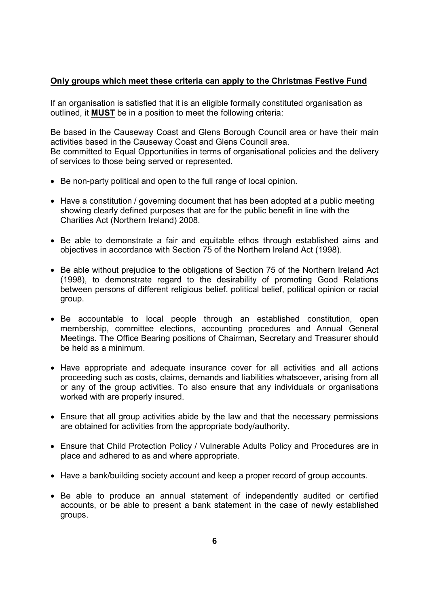# Only groups which meet these criteria can apply to the Christmas Festive Fund

If an organisation is satisfied that it is an eligible formally constituted organisation as outlined, it MUST be in a position to meet the following criteria:

Be based in the Causeway Coast and Glens Borough Council area or have their main activities based in the Causeway Coast and Glens Council area. Be committed to Equal Opportunities in terms of organisational policies and the delivery of services to those being served or represented.

- Be non-party political and open to the full range of local opinion.
- Have a constitution / governing document that has been adopted at a public meeting showing clearly defined purposes that are for the public benefit in line with the Charities Act (Northern Ireland) 2008.
- Be able to demonstrate a fair and equitable ethos through established aims and objectives in accordance with Section 75 of the Northern Ireland Act (1998).
- Be able without prejudice to the obligations of Section 75 of the Northern Ireland Act (1998), to demonstrate regard to the desirability of promoting Good Relations between persons of different religious belief, political belief, political opinion or racial group.
- Be accountable to local people through an established constitution, open membership, committee elections, accounting procedures and Annual General Meetings. The Office Bearing positions of Chairman, Secretary and Treasurer should be held as a minimum.
- Have appropriate and adequate insurance cover for all activities and all actions proceeding such as costs, claims, demands and liabilities whatsoever, arising from all or any of the group activities. To also ensure that any individuals or organisations worked with are properly insured.
- Ensure that all group activities abide by the law and that the necessary permissions are obtained for activities from the appropriate body/authority.
- Ensure that Child Protection Policy / Vulnerable Adults Policy and Procedures are in place and adhered to as and where appropriate.
- Have a bank/building society account and keep a proper record of group accounts.
- Be able to produce an annual statement of independently audited or certified accounts, or be able to present a bank statement in the case of newly established groups.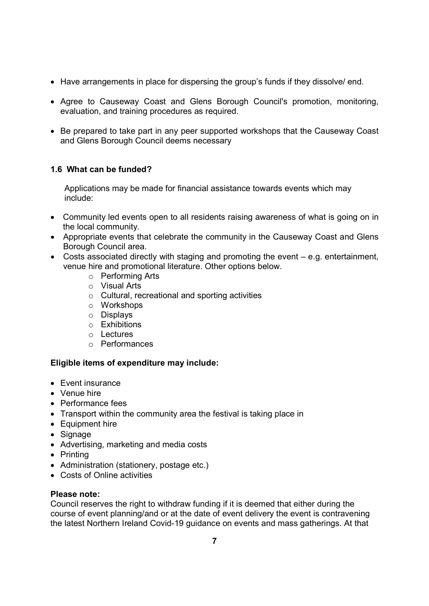- Have arrangements in place for dispersing the group's funds if they dissolve/ end.
- Agree to Causeway Coast and Glens Borough Council's promotion, monitoring, evaluation, and training procedures as required.
- Be prepared to take part in any peer supported workshops that the Causeway Coast and Glens Borough Council deems necessary

# 1.6 What can be funded?

Applications may be made for financial assistance towards events which may include:

- Community led events open to all residents raising awareness of what is going on in the local community.
- Appropriate events that celebrate the community in the Causeway Coast and Glens Borough Council area.
- Costs associated directly with staging and promoting the event e.g. entertainment, venue hire and promotional literature. Other options below.
	- o Performing Arts
	- o Visual Arts
	- o Cultural, recreational and sporting activities
	- o Workshops
	- o Displays
	- o Exhibitions
	- o Lectures
	- o Performances

# Eligible items of expenditure may include:

- Event insurance
- Venue hire
- Performance fees
- Transport within the community area the festival is taking place in
- Equipment hire
- Signage
- Advertising, marketing and media costs
- Printing
- Administration (stationery, postage etc.)
- Costs of Online activities

# Please note:

Council reserves the right to withdraw funding if it is deemed that either during the course of event planning/and or at the date of event delivery the event is contravening the latest Northern Ireland Covid-19 guidance on events and mass gatherings. At that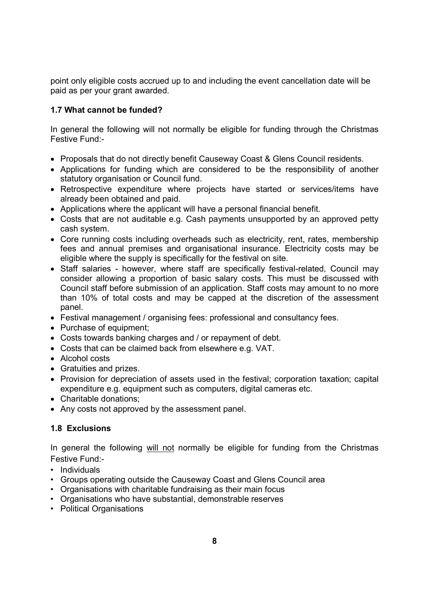point only eligible costs accrued up to and including the event cancellation date will be paid as per your grant awarded.

# 1.7 What cannot be funded?

In general the following will not normally be eligible for funding through the Christmas Festive Fund:-

- Proposals that do not directly benefit Causeway Coast & Glens Council residents.
- Applications for funding which are considered to be the responsibility of another statutory organisation or Council fund.
- Retrospective expenditure where projects have started or services/items have already been obtained and paid.
- Applications where the applicant will have a personal financial benefit.
- Costs that are not auditable e.g. Cash payments unsupported by an approved petty cash system.
- Core running costs including overheads such as electricity, rent, rates, membership fees and annual premises and organisational insurance. Electricity costs may be eligible where the supply is specifically for the festival on site.
- Staff salaries however, where staff are specifically festival-related, Council may consider allowing a proportion of basic salary costs. This must be discussed with Council staff before submission of an application. Staff costs may amount to no more than 10% of total costs and may be capped at the discretion of the assessment panel.
- Festival management / organising fees: professional and consultancy fees.
- Purchase of equipment;
- Costs towards banking charges and / or repayment of debt.
- Costs that can be claimed back from elsewhere e.g. VAT.
- Alcohol costs
- Gratuities and prizes.
- Provision for depreciation of assets used in the festival; corporation taxation; capital expenditure e.g. equipment such as computers, digital cameras etc.
- Charitable donations:
- Any costs not approved by the assessment panel.

# 1.8 Exclusions

In general the following will not normally be eligible for funding from the Christmas Festive Fund:-

- Individuals
- Groups operating outside the Causeway Coast and Glens Council area
- Organisations with charitable fundraising as their main focus
- Organisations who have substantial, demonstrable reserves
- Political Organisations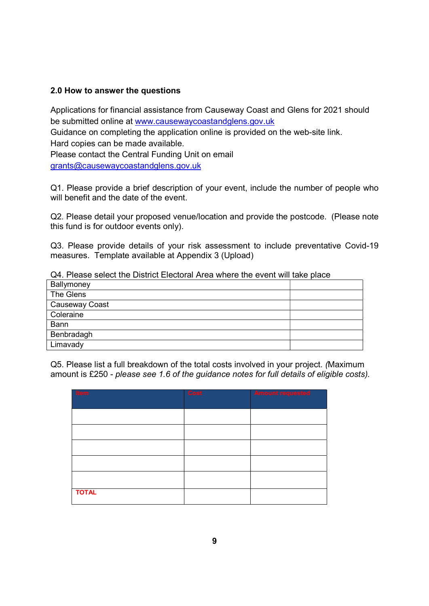# 2.0 How to answer the questions

Applications for financial assistance from Causeway Coast and Glens for 2021 should be submitted online at www.causewaycoastandglens.gov.uk

Guidance on completing the application online is provided on the web-site link.

Hard copies can be made available.

Please contact the Central Funding Unit on email grants@causewaycoastandglens.gov.uk

Q1. Please provide a brief description of your event, include the number of people who will benefit and the date of the event.

Q2. Please detail your proposed venue/location and provide the postcode. (Please note this fund is for outdoor events only).

Q3. Please provide details of your risk assessment to include preventative Covid-19 measures. Template available at Appendix 3 (Upload)

| Q4. Please select the District Electoral Area where the event will take place |  |
|-------------------------------------------------------------------------------|--|
| Ballymoney                                                                    |  |
| The Glens                                                                     |  |
| Causeway Coast                                                                |  |
| Coleraine                                                                     |  |
| <b>Bann</b>                                                                   |  |
| Benbradagh                                                                    |  |
| Limavady                                                                      |  |

Q4. Please select the District Electoral Area where the event will take place

Q5. Please list a full breakdown of the total costs involved in your project. (Maximum amount is £250 - please see 1.6 of the guidance notes for full details of eligible costs).

| Item         | <b>Cost</b> | <b>Amount requested</b> |
|--------------|-------------|-------------------------|
|              |             |                         |
|              |             |                         |
|              |             |                         |
|              |             |                         |
|              |             |                         |
|              |             |                         |
| <b>TOTAL</b> |             |                         |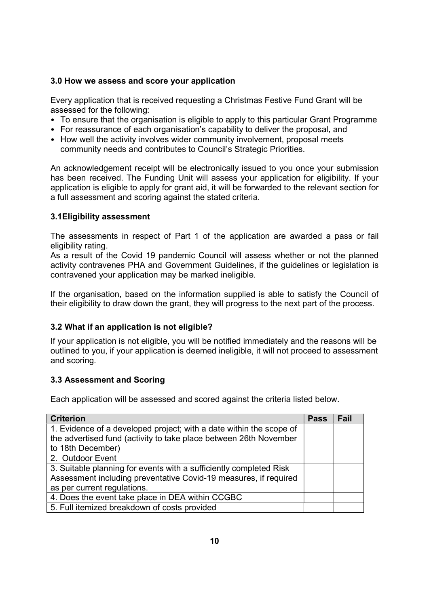# 3.0 How we assess and score your application

Every application that is received requesting a Christmas Festive Fund Grant will be assessed for the following:

- To ensure that the organisation is eligible to apply to this particular Grant Programme
- For reassurance of each organisation's capability to deliver the proposal, and
- How well the activity involves wider community involvement, proposal meets community needs and contributes to Council's Strategic Priorities.

An acknowledgement receipt will be electronically issued to you once your submission has been received. The Funding Unit will assess your application for eligibility. If your application is eligible to apply for grant aid, it will be forwarded to the relevant section for a full assessment and scoring against the stated criteria.

# 3.1Eligibility assessment

The assessments in respect of Part 1 of the application are awarded a pass or fail eligibility rating.

As a result of the Covid 19 pandemic Council will assess whether or not the planned activity contravenes PHA and Government Guidelines, if the guidelines or legislation is contravened your application may be marked ineligible.

If the organisation, based on the information supplied is able to satisfy the Council of their eligibility to draw down the grant, they will progress to the next part of the process.

## 3.2 What if an application is not eligible?

If your application is not eligible, you will be notified immediately and the reasons will be outlined to you, if your application is deemed ineligible, it will not proceed to assessment and scoring.

## 3.3 Assessment and Scoring

Each application will be assessed and scored against the criteria listed below.

| <b>Criterion</b>                                                    | <b>Pass</b> | Fail |
|---------------------------------------------------------------------|-------------|------|
| 1. Evidence of a developed project; with a date within the scope of |             |      |
| the advertised fund (activity to take place between 26th November   |             |      |
| to 18th December)                                                   |             |      |
| 2. Outdoor Event                                                    |             |      |
| 3. Suitable planning for events with a sufficiently completed Risk  |             |      |
| Assessment including preventative Covid-19 measures, if required    |             |      |
| as per current regulations.                                         |             |      |
| 4. Does the event take place in DEA within CCGBC                    |             |      |
| 5. Full itemized breakdown of costs provided                        |             |      |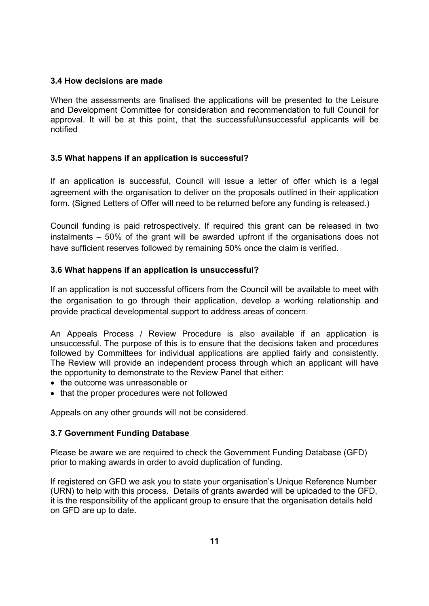# 3.4 How decisions are made

When the assessments are finalised the applications will be presented to the Leisure and Development Committee for consideration and recommendation to full Council for approval. It will be at this point, that the successful/unsuccessful applicants will be notified

# 3.5 What happens if an application is successful?

If an application is successful, Council will issue a letter of offer which is a legal agreement with the organisation to deliver on the proposals outlined in their application form. (Signed Letters of Offer will need to be returned before any funding is released.)

Council funding is paid retrospectively. If required this grant can be released in two instalments – 50% of the grant will be awarded upfront if the organisations does not have sufficient reserves followed by remaining 50% once the claim is verified.

# 3.6 What happens if an application is unsuccessful?

If an application is not successful officers from the Council will be available to meet with the organisation to go through their application, develop a working relationship and provide practical developmental support to address areas of concern.

An Appeals Process / Review Procedure is also available if an application is unsuccessful. The purpose of this is to ensure that the decisions taken and procedures followed by Committees for individual applications are applied fairly and consistently. The Review will provide an independent process through which an applicant will have the opportunity to demonstrate to the Review Panel that either:

- the outcome was unreasonable or
- that the proper procedures were not followed

Appeals on any other grounds will not be considered.

# 3.7 Government Funding Database

Please be aware we are required to check the Government Funding Database (GFD) prior to making awards in order to avoid duplication of funding.

If registered on GFD we ask you to state your organisation's Unique Reference Number (URN) to help with this process. Details of grants awarded will be uploaded to the GFD, it is the responsibility of the applicant group to ensure that the organisation details held on GFD are up to date.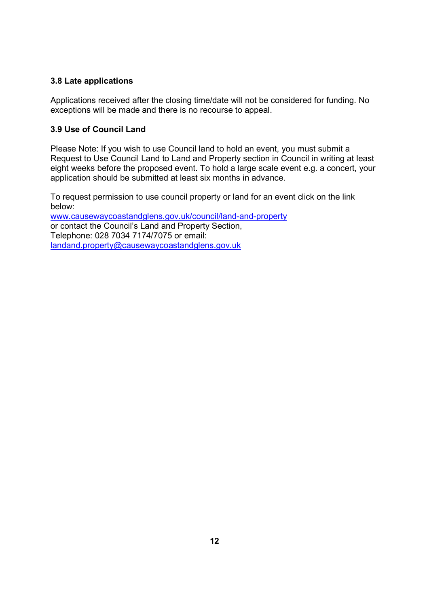# 3.8 Late applications

Applications received after the closing time/date will not be considered for funding. No exceptions will be made and there is no recourse to appeal.

# 3.9 Use of Council Land

Please Note: If you wish to use Council land to hold an event, you must submit a Request to Use Council Land to Land and Property section in Council in writing at least eight weeks before the proposed event. To hold a large scale event e.g. a concert, your application should be submitted at least six months in advance.

To request permission to use council property or land for an event click on the link below:

www.causewaycoastandglens.gov.uk/council/land-and-property or contact the Council's Land and Property Section, Telephone: 028 7034 7174/7075 or email: landand.property@causewaycoastandglens.gov.uk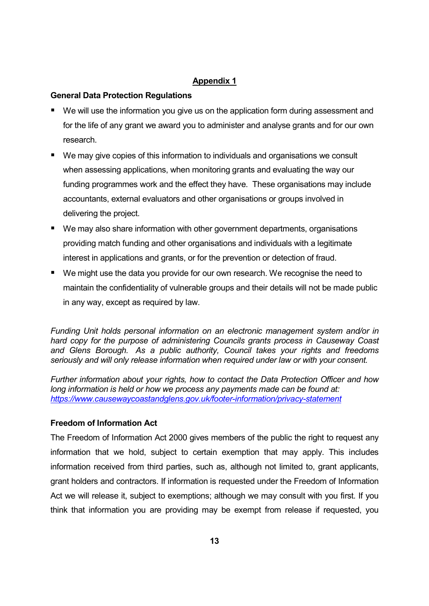# Appendix 1

# General Data Protection Regulations

- We will use the information you give us on the application form during assessment and for the life of any grant we award you to administer and analyse grants and for our own research.
- We may give copies of this information to individuals and organisations we consult when assessing applications, when monitoring grants and evaluating the way our funding programmes work and the effect they have. These organisations may include accountants, external evaluators and other organisations or groups involved in delivering the project.
- We may also share information with other government departments, organisations providing match funding and other organisations and individuals with a legitimate interest in applications and grants, or for the prevention or detection of fraud.
- We might use the data you provide for our own research. We recognise the need to maintain the confidentiality of vulnerable groups and their details will not be made public in any way, except as required by law.

Funding Unit holds personal information on an electronic management system and/or in hard copy for the purpose of administering Councils grants process in Causeway Coast and Glens Borough. As a public authority, Council takes your rights and freedoms seriously and will only release information when required under law or with your consent.

Further information about your rights, how to contact the Data Protection Officer and how long information is held or how we process any payments made can be found at: https://www.causewaycoastandglens.gov.uk/footer-information/privacy-statement

# Freedom of Information Act

The Freedom of Information Act 2000 gives members of the public the right to request any information that we hold, subject to certain exemption that may apply. This includes information received from third parties, such as, although not limited to, grant applicants, grant holders and contractors. If information is requested under the Freedom of Information Act we will release it, subject to exemptions; although we may consult with you first. If you think that information you are providing may be exempt from release if requested, you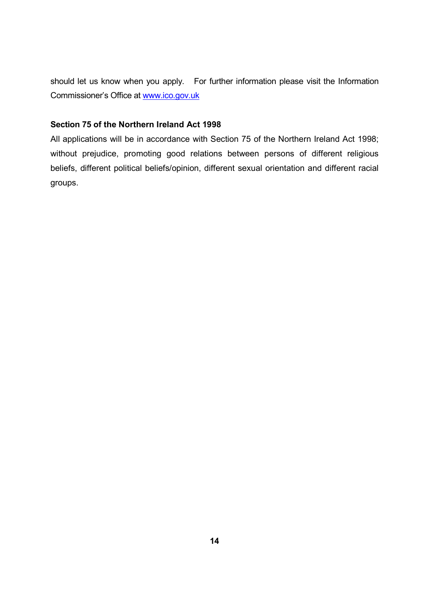should let us know when you apply. For further information please visit the Information Commissioner's Office at www.ico.gov.uk

# Section 75 of the Northern Ireland Act 1998

All applications will be in accordance with Section 75 of the Northern Ireland Act 1998; without prejudice, promoting good relations between persons of different religious beliefs, different political beliefs/opinion, different sexual orientation and different racial groups.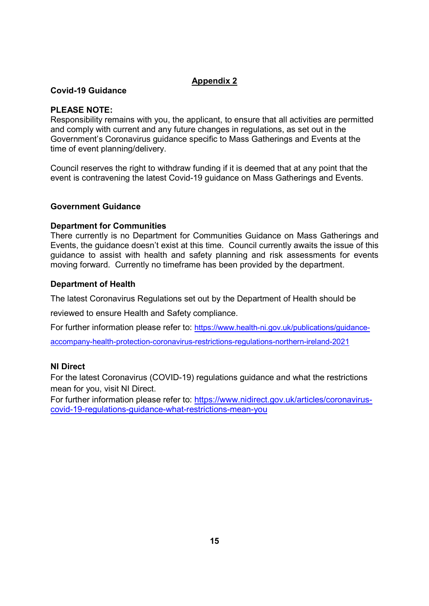# Appendix 2

# Covid-19 Guidance

# PLEASE NOTE:

Responsibility remains with you, the applicant, to ensure that all activities are permitted and comply with current and any future changes in regulations, as set out in the Government's Coronavirus guidance specific to Mass Gatherings and Events at the time of event planning/delivery.

Council reserves the right to withdraw funding if it is deemed that at any point that the event is contravening the latest Covid-19 guidance on Mass Gatherings and Events.

# Government Guidance

# Department for Communities

There currently is no Department for Communities Guidance on Mass Gatherings and Events, the guidance doesn't exist at this time. Council currently awaits the issue of this guidance to assist with health and safety planning and risk assessments for events moving forward. Currently no timeframe has been provided by the department.

# Department of Health

The latest Coronavirus Regulations set out by the Department of Health should be

reviewed to ensure Health and Safety compliance.

For further information please refer to: https://www.health-ni.gov.uk/publications/guidance-

accompany-health-protection-coronavirus-restrictions-regulations-northern-ireland-2021

## NI Direct

For the latest Coronavirus (COVID-19) regulations guidance and what the restrictions mean for you, visit NI Direct.

For further information please refer to: https://www.nidirect.gov.uk/articles/coronaviruscovid-19-regulations-guidance-what-restrictions-mean-you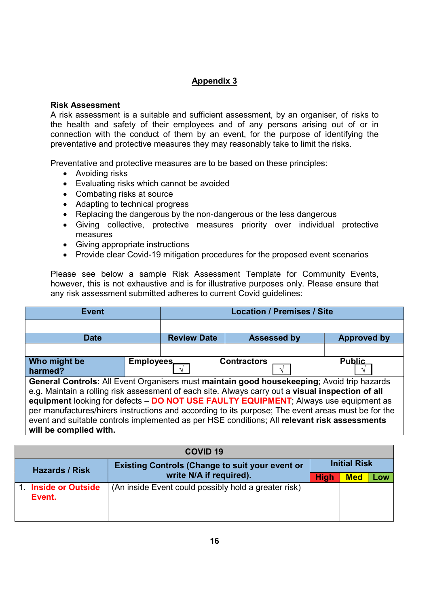# Appendix 3

# Risk Assessment

A risk assessment is a suitable and sufficient assessment, by an organiser, of risks to the health and safety of their employees and of any persons arising out of or in connection with the conduct of them by an event, for the purpose of identifying the preventative and protective measures they may reasonably take to limit the risks.

Preventative and protective measures are to be based on these principles:

- Avoiding risks
- Evaluating risks which cannot be avoided
- Combating risks at source
- Adapting to technical progress
- Replacing the dangerous by the non-dangerous or the less dangerous
- Giving collective, protective measures priority over individual protective measures
- Giving appropriate instructions
- Provide clear Covid-19 mitigation procedures for the proposed event scenarios

Please see below a sample Risk Assessment Template for Community Events, however, this is not exhaustive and is for illustrative purposes only. Please ensure that any risk assessment submitted adheres to current Covid guidelines:

| <b>Event</b>                                                                                                                                                                                                                                                                                                                                                                                                                                                                                                            |                  | <b>Location / Premises / Site</b> |                    |                    |  |
|-------------------------------------------------------------------------------------------------------------------------------------------------------------------------------------------------------------------------------------------------------------------------------------------------------------------------------------------------------------------------------------------------------------------------------------------------------------------------------------------------------------------------|------------------|-----------------------------------|--------------------|--------------------|--|
|                                                                                                                                                                                                                                                                                                                                                                                                                                                                                                                         |                  |                                   |                    |                    |  |
| <b>Date</b>                                                                                                                                                                                                                                                                                                                                                                                                                                                                                                             |                  | <b>Review Date</b>                | <b>Assessed by</b> | <b>Approved by</b> |  |
|                                                                                                                                                                                                                                                                                                                                                                                                                                                                                                                         |                  |                                   |                    |                    |  |
| Who might be<br>harmed?                                                                                                                                                                                                                                                                                                                                                                                                                                                                                                 | <b>Employees</b> |                                   | <b>Contractors</b> | <b>Public</b>      |  |
| General Controls: All Event Organisers must maintain good housekeeping; Avoid trip hazards<br>e.g. Maintain a rolling risk assessment of each site. Always carry out a visual inspection of all<br>equipment looking for defects - DO NOT USE FAULTY EQUIPMENT; Always use equipment as<br>per manufactures/hirers instructions and according to its purpose; The event areas must be for the<br>event and suitable controls implemented as per HSE conditions; All relevant risk assessments<br>will be complied with. |                  |                                   |                    |                    |  |

|                       | <b>COVID 19</b>                                        |                                                      |             |            |     |  |
|-----------------------|--------------------------------------------------------|------------------------------------------------------|-------------|------------|-----|--|
| <b>Hazards / Risk</b> | <b>Existing Controls (Change to suit your event or</b> | <b>Initial Risk</b>                                  |             |            |     |  |
|                       |                                                        | write N/A if required).                              | <b>High</b> | <b>Med</b> | Low |  |
|                       | 1. Inside or Outside<br>Event.                         | (An inside Event could possibly hold a greater risk) |             |            |     |  |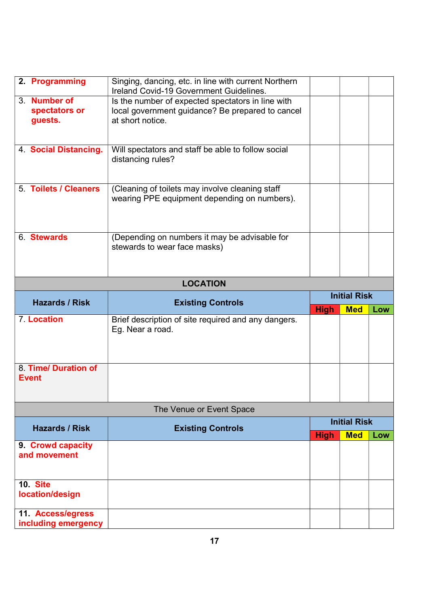| 2. Programming                           | Singing, dancing, etc. in line with current Northern<br>Ireland Covid-19 Government Guidelines. |                     |                     |     |  |  |
|------------------------------------------|-------------------------------------------------------------------------------------------------|---------------------|---------------------|-----|--|--|
| 3. Number of                             | Is the number of expected spectators in line with                                               |                     |                     |     |  |  |
| spectators or                            | local government guidance? Be prepared to cancel                                                |                     |                     |     |  |  |
| guests.                                  | at short notice.                                                                                |                     |                     |     |  |  |
|                                          |                                                                                                 |                     |                     |     |  |  |
|                                          |                                                                                                 |                     |                     |     |  |  |
| 4 Social Distancing.                     | Will spectators and staff be able to follow social                                              |                     |                     |     |  |  |
|                                          | distancing rules?                                                                               |                     |                     |     |  |  |
|                                          |                                                                                                 |                     |                     |     |  |  |
| 5. Toilets / Cleaners                    |                                                                                                 |                     |                     |     |  |  |
|                                          | (Cleaning of toilets may involve cleaning staff<br>wearing PPE equipment depending on numbers). |                     |                     |     |  |  |
|                                          |                                                                                                 |                     |                     |     |  |  |
|                                          |                                                                                                 |                     |                     |     |  |  |
|                                          |                                                                                                 |                     |                     |     |  |  |
| 6. Stewards                              | (Depending on numbers it may be advisable for                                                   |                     |                     |     |  |  |
|                                          | stewards to wear face masks)                                                                    |                     |                     |     |  |  |
|                                          |                                                                                                 |                     |                     |     |  |  |
|                                          |                                                                                                 |                     |                     |     |  |  |
|                                          | <b>LOCATION</b>                                                                                 |                     |                     |     |  |  |
|                                          |                                                                                                 | <b>Initial Risk</b> |                     |     |  |  |
|                                          |                                                                                                 |                     |                     |     |  |  |
| <b>Hazards / Risk</b>                    | <b>Existing Controls</b>                                                                        |                     | <b>Med</b>          | Low |  |  |
| 7. Location                              | Brief description of site required and any dangers.                                             | <b>High</b>         |                     |     |  |  |
|                                          | Eg. Near a road.                                                                                |                     |                     |     |  |  |
|                                          |                                                                                                 |                     |                     |     |  |  |
|                                          |                                                                                                 |                     |                     |     |  |  |
|                                          |                                                                                                 |                     |                     |     |  |  |
| 8. Time/ Duration of                     |                                                                                                 |                     |                     |     |  |  |
| <b>Event</b>                             |                                                                                                 |                     |                     |     |  |  |
|                                          |                                                                                                 |                     |                     |     |  |  |
|                                          | The Venue or Event Space                                                                        |                     |                     |     |  |  |
|                                          |                                                                                                 |                     | <b>Initial Risk</b> |     |  |  |
| <b>Hazards / Risk</b>                    | <b>Existing Controls</b>                                                                        | <b>High</b>         | <b>Med</b>          | Low |  |  |
| 9. Crowd capacity                        |                                                                                                 |                     |                     |     |  |  |
| and movement                             |                                                                                                 |                     |                     |     |  |  |
|                                          |                                                                                                 |                     |                     |     |  |  |
|                                          |                                                                                                 |                     |                     |     |  |  |
| 10. Site                                 |                                                                                                 |                     |                     |     |  |  |
| location/design                          |                                                                                                 |                     |                     |     |  |  |
| 11. Access/egress<br>including emergency |                                                                                                 |                     |                     |     |  |  |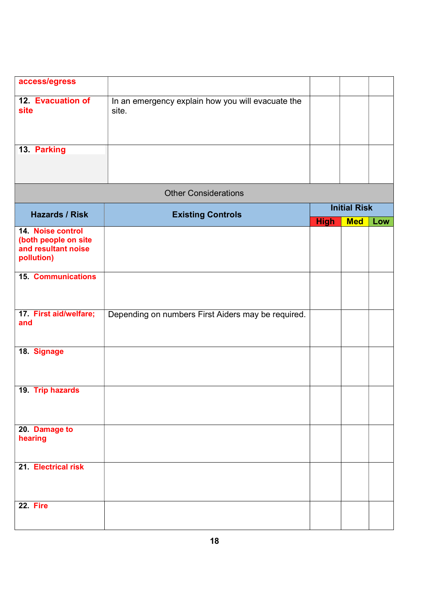| access/egress                                                                  |                                                            |                                                  |  |     |
|--------------------------------------------------------------------------------|------------------------------------------------------------|--------------------------------------------------|--|-----|
| 12. Evacuation of<br>site                                                      | In an emergency explain how you will evacuate the<br>site. |                                                  |  |     |
| 13. Parking                                                                    |                                                            |                                                  |  |     |
|                                                                                | <b>Other Considerations</b>                                |                                                  |  |     |
| <b>Hazards / Risk</b>                                                          | <b>Existing Controls</b>                                   | <b>Initial Risk</b><br><b>Med</b><br><b>High</b> |  | Low |
| 14. Noise control<br>(both people on site<br>and resultant noise<br>pollution) |                                                            |                                                  |  |     |
| <b>15. Communications</b>                                                      |                                                            |                                                  |  |     |
| 17. First aid/welfare;<br>and                                                  | Depending on numbers First Aiders may be required.         |                                                  |  |     |
| 18. Signage                                                                    |                                                            |                                                  |  |     |
| 19. Trip hazards                                                               |                                                            |                                                  |  |     |
| 20. Damage to<br>hearing                                                       |                                                            |                                                  |  |     |
| 21. Electrical risk                                                            |                                                            |                                                  |  |     |
| 22. Fire                                                                       |                                                            |                                                  |  |     |